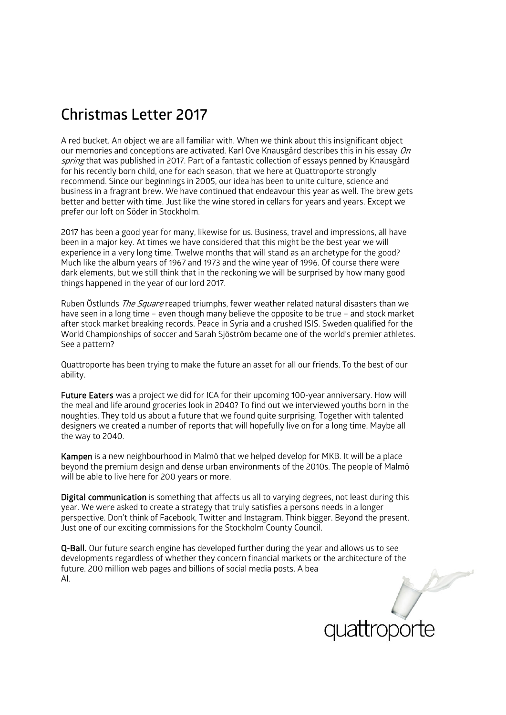## **Christmas Letter 2017**

A red bucket. An object we are all familiar with. When we think about this insignificant object our memories and conceptions are activated. Karl Ove Knausgård describes this in his essay  $On$ spring that was published in 2017. Part of a fantastic collection of essays penned by Knausgård for his recently born child, one for each season, that we here at Quattroporte strongly recommend. Since our beginnings in 2005, our idea has been to unite culture, science and business in a fragrant brew. We have continued that endeavour this year as well. The brew gets better and better with time. Just like the wine stored in cellars for years and years. Except we prefer our loft on Söder in Stockholm.

2017 has been a good year for many, likewise for us. Business, travel and impressions, all have been in a major key. At times we have considered that this might be the best year we will experience in a very long time. Twelwe months that will stand as an archetype for the good? Much like the album years of 1967 and 1973 and the wine year of 1996. Of course there were dark elements, but we still think that in the reckoning we will be surprised by how many good things happened in the year of our lord 2017.

Ruben Östlunds *The Square* reaped triumphs, fewer weather related natural disasters than we have seen in a long time – even though many believe the opposite to be true – and stock market after stock market breaking records. Peace in Syria and a crushed ISIS. Sweden qualified for the World Championships of soccer and Sarah Sjöström became one of the world's premier athletes. See a pattern?

Quattroporte has been trying to make the future an asset for all our friends. To the best of our ability.

Future Eaters was a project we did for ICA for their upcoming 100-year anniversary. How will the meal and life around groceries look in 2040? To find out we interviewed youths born in the noughties. They told us about a future that we found quite surprising. Together with talented designers we created a number of reports that will hopefully live on for a long time. Maybe all the way to 2040.

Kampen is a new neighbourhood in Malmö that we helped develop for MKB. It will be a place beyond the premium design and dense urban environments of the 2010s. The people of Malmö will be able to live here for 200 years or more.

Digital communication is something that affects us all to varying degrees, not least during this year. We were asked to create a strategy that truly satisfies a persons needs in a longer perspective. Don't think of Facebook, Twitter and Instagram. Think bigger. Beyond the present. Just one of our exciting commissions for the Stockholm County Council.

Q-Ball. Our future search engine has developed further during the year and allows us to see developments regardless of whether they concern financial markets or the architecture of the future. 200 million web pages and billions of social media posts. A bea AI.



 $\sum$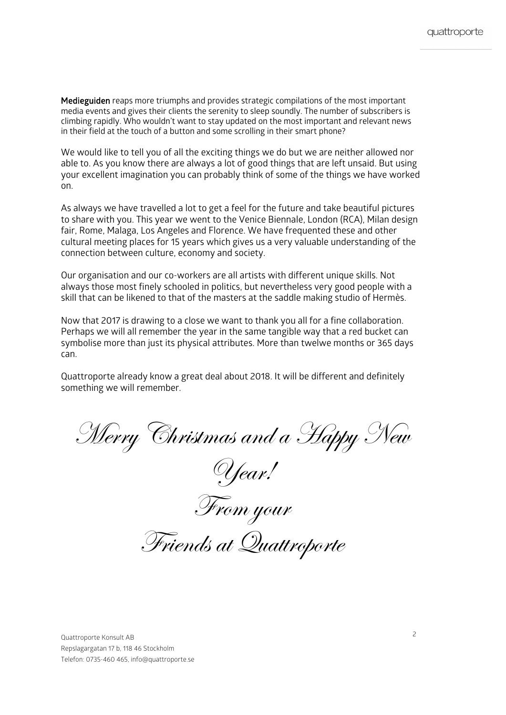Medieguiden reaps more triumphs and provides strategic compilations of the most important media events and gives their clients the serenity to sleep soundly. The number of subscribers is climbing rapidly. Who wouldn't want to stay updated on the most important and relevant news in their field at the touch of a button and some scrolling in their smart phone?

We would like to tell you of all the exciting things we do but we are neither allowed nor able to. As you know there are always a lot of good things that are left unsaid. But using your excellent imagination you can probably think of some of the things we have worked on.

As always we have travelled a lot to get a feel for the future and take beautiful pictures to share with you. This year we went to the Venice Biennale, London (RCA), Milan design fair, Rome, Malaga, Los Angeles and Florence. We have frequented these and other cultural meeting places for 15 years which gives us a very valuable understanding of the connection between culture, economy and society.

Our organisation and our co-workers are all artists with different unique skills. Not always those most finely schooled in politics, but nevertheless very good people with a skill that can be likened to that of the masters at the saddle making studio of Hermès.

Now that 2017 is drawing to a close we want to thank you all for a fine collaboration. Perhaps we will all remember the year in the same tangible way that a red bucket can symbolise more than just its physical attributes. More than twelwe months or 365 days can.

Quattroporte already know a great deal about 2018. It will be different and definitely something we will remember.

Merry Christmas and a Happy New

Year!

From your

Friends at Quattroporte

Quattroporte Konsult AB Repslagargatan 17 b, 118 46 Stockholm Telefon: 0735-460 465, info@quattroporte.se